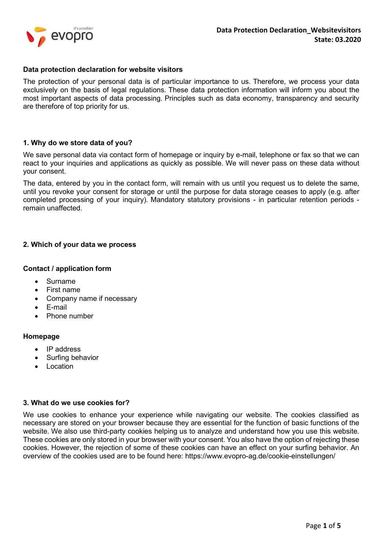### Data protection declaration for website visitors

The protection of your personal data is of particular importance to us. Therefore, we process your data exclusively on the basis of legal regulations. These data protection information will inform you about the most important aspects of data processing. Principles such as data economy, transparency and security are therefore of top priority for us.

## 1. Why do we store data of you?

We save personal data via contact form of homepage or inquiry by e-mail, telephone or fax so that we can react to your inquiries and applications as quickly as possible. We will never pass on these data without your consent.

The data, entered by you in the contact form, will remain with us until you request us to delete the same, until you revoke your consent for storage or until the purpose for data storage ceases to apply (e.g. after completed processing of your inquiry). Mandatory statutory provisions - in particular retention periods remain unaffected.

## 2. Which of your data we process

### Contact / application form

- Surname
- First name
- Company name if necessary
- E-mail
- Phone number

### Homepage

- IP address
- Surfing behavior
- Location

### 3. What do we use cookies for?

We use cookies to enhance your experience while navigating our website. The cookies classified as necessary are stored on your browser because they are essential for the function of basic functions of the website. We also use third-party cookies helping us to analyze and understand how you use this website. These cookies are only stored in your browser with your consent. You also have the option of rejecting these cookies. However, the rejection of some of these cookies can have an effect on your surfing behavior. An overview of the cookies used are to be found here: https://www.evopro-ag.de/cookie-einstellungen/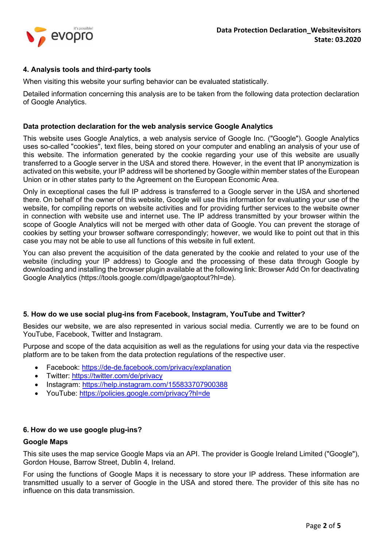

# 4. Analysis tools and third-party tools

When visiting this website your surfing behavior can be evaluated statistically.

Detailed information concerning this analysis are to be taken from the following data protection declaration of Google Analytics.

#### Data protection declaration for the web analysis service Google Analytics

This website uses Google Analytics, a web analysis service of Google Inc. ("Google"). Google Analytics uses so-called "cookies", text files, being stored on your computer and enabling an analysis of your use of this website. The information generated by the cookie regarding your use of this website are usually transferred to a Google server in the USA and stored there. However, in the event that IP anonymization is activated on this website, your IP address will be shortened by Google within member states of the European Union or in other states party to the Agreement on the European Economic Area.

Only in exceptional cases the full IP address is transferred to a Google server in the USA and shortened there. On behalf of the owner of this website, Google will use this information for evaluating your use of the website, for compiling reports on website activities and for providing further services to the website owner in connection with website use and internet use. The IP address transmitted by your browser within the scope of Google Analytics will not be merged with other data of Google. You can prevent the storage of cookies by setting your browser software correspondingly; however, we would like to point out that in this case you may not be able to use all functions of this website in full extent.

You can also prevent the acquisition of the data generated by the cookie and related to your use of the website (including your IP address) to Google and the processing of these data through Google by downloading and installing the browser plugin available at the following link: Browser Add On for deactivating Google Analytics (https://tools.google.com/dlpage/gaoptout?hl=de).

### 5. How do we use social plug-ins from Facebook, Instagram, YouTube and Twitter?

Besides our website, we are also represented in various social media. Currently we are to be found on YouTube, Facebook, Twitter and Instagram.

Purpose and scope of the data acquisition as well as the regulations for using your data via the respective platform are to be taken from the data protection regulations of the respective user.

- Facebook: https://de-de.facebook.com/privacy/explanation
- Twitter: https://twitter.com/de/privacy
- Instagram: https://help.instagram.com/155833707900388
- YouTube: https://policies.google.com/privacy?hl=de

## 6. How do we use google plug-ins?

### Google Maps

This site uses the map service Google Maps via an API. The provider is Google Ireland Limited ("Google"), Gordon House, Barrow Street, Dublin 4, Ireland.

For using the functions of Google Maps it is necessary to store your IP address. These information are transmitted usually to a server of Google in the USA and stored there. The provider of this site has no influence on this data transmission.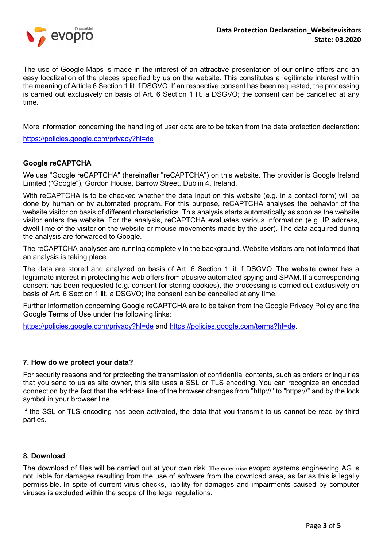

The use of Google Maps is made in the interest of an attractive presentation of our online offers and an easy localization of the places specified by us on the website. This constitutes a legitimate interest within the meaning of Article 6 Section 1 lit. f DSGVO. If an respective consent has been requested, the processing is carried out exclusively on basis of Art. 6 Section 1 lit. a DSGVO; the consent can be cancelled at any time.

More information concerning the handling of user data are to be taken from the data protection declaration:

https://policies.google.com/privacy?hl=de

## Google reCAPTCHA

We use "Google reCAPTCHA" (hereinafter "reCAPTCHA") on this website. The provider is Google Ireland Limited ("Google"), Gordon House, Barrow Street, Dublin 4, Ireland.

With reCAPTCHA is to be checked whether the data input on this website (e.g. in a contact form) will be done by human or by automated program. For this purpose, reCAPTCHA analyses the behavior of the website visitor on basis of different characteristics. This analysis starts automatically as soon as the website visitor enters the website. For the analysis, reCAPTCHA evaluates various information (e.g. IP address, dwell time of the visitor on the website or mouse movements made by the user). The data acquired during the analysis are forwarded to Google.

The reCAPTCHA analyses are running completely in the background. Website visitors are not informed that an analysis is taking place.

The data are stored and analyzed on basis of Art. 6 Section 1 lit. f DSGVO. The website owner has a legitimate interest in protecting his web offers from abusive automated spying and SPAM. If a corresponding consent has been requested (e.g. consent for storing cookies), the processing is carried out exclusively on basis of Art. 6 Section 1 lit. a DSGVO; the consent can be cancelled at any time.

Further information concerning Google reCAPTCHA are to be taken from the Google Privacy Policy and the Google Terms of Use under the following links:

https://policies.google.com/privacy?hl=de and https://policies.google.com/terms?hl=de.

### 7. How do we protect your data?

For security reasons and for protecting the transmission of confidential contents, such as orders or inquiries that you send to us as site owner, this site uses a SSL or TLS encoding. You can recognize an encoded connection by the fact that the address line of the browser changes from "http://" to "https://" and by the lock symbol in your browser line.

If the SSL or TLS encoding has been activated, the data that you transmit to us cannot be read by third parties.

### 8. Download

The download of files will be carried out at your own risk. The enterprise evopro systems engineering AG is not liable for damages resulting from the use of software from the download area, as far as this is legally permissible. In spite of current virus checks, liability for damages and impairments caused by computer viruses is excluded within the scope of the legal regulations.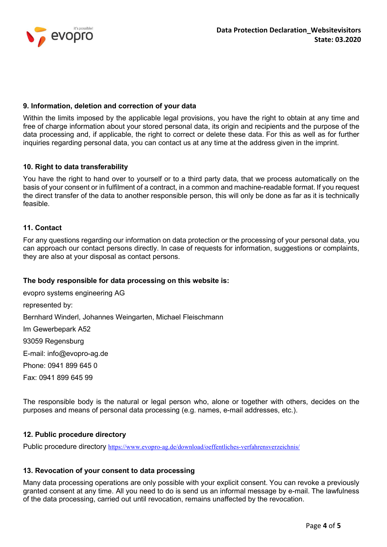

## 9. Information, deletion and correction of your data

Within the limits imposed by the applicable legal provisions, you have the right to obtain at any time and free of charge information about your stored personal data, its origin and recipients and the purpose of the data processing and, if applicable, the right to correct or delete these data. For this as well as for further inquiries regarding personal data, you can contact us at any time at the address given in the imprint.

## 10. Right to data transferability

You have the right to hand over to yourself or to a third party data, that we process automatically on the basis of your consent or in fulfilment of a contract, in a common and machine-readable format. If you request the direct transfer of the data to another responsible person, this will only be done as far as it is technically feasible.

### 11. Contact

For any questions regarding our information on data protection or the processing of your personal data, you can approach our contact persons directly. In case of requests for information, suggestions or complaints, they are also at your disposal as contact persons.

### The body responsible for data processing on this website is:

evopro systems engineering AG represented by: Bernhard Winderl, Johannes Weingarten, Michael Fleischmann Im Gewerbepark A52 93059 Regensburg E-mail: info@evopro-ag.de Phone: 0941 899 645 0 Fax: 0941 899 645 99

The responsible body is the natural or legal person who, alone or together with others, decides on the purposes and means of personal data processing (e.g. names, e-mail addresses, etc.).

### 12. Public procedure directory

Public procedure directory https://www.evopro-ag.de/download/oeffentliches-verfahrensverzeichnis/

### 13. Revocation of your consent to data processing

Many data processing operations are only possible with your explicit consent. You can revoke a previously granted consent at any time. All you need to do is send us an informal message by e-mail. The lawfulness of the data processing, carried out until revocation, remains unaffected by the revocation.